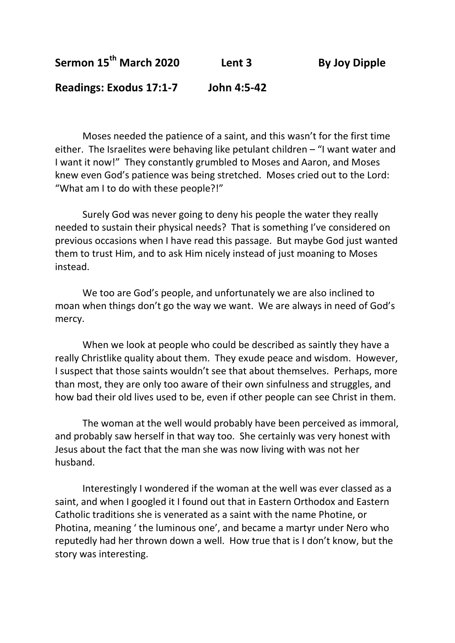**Sermon 15th March 2020 Lent 3 By Joy Dipple**

**Readings: Exodus 17:1-7 John 4:5-42**

Moses needed the patience of a saint, and this wasn't for the first time either. The Israelites were behaving like petulant children – "I want water and I want it now!" They constantly grumbled to Moses and Aaron, and Moses knew even God's patience was being stretched. Moses cried out to the Lord: "What am I to do with these people?!"

Surely God was never going to deny his people the water they really needed to sustain their physical needs? That is something I've considered on previous occasions when I have read this passage. But maybe God just wanted them to trust Him, and to ask Him nicely instead of just moaning to Moses instead.

We too are God's people, and unfortunately we are also inclined to moan when things don't go the way we want. We are always in need of God's mercy.

When we look at people who could be described as saintly they have a really Christlike quality about them. They exude peace and wisdom. However, I suspect that those saints wouldn't see that about themselves. Perhaps, more than most, they are only too aware of their own sinfulness and struggles, and how bad their old lives used to be, even if other people can see Christ in them.

The woman at the well would probably have been perceived as immoral, and probably saw herself in that way too. She certainly was very honest with Jesus about the fact that the man she was now living with was not her husband.

Interestingly I wondered if the woman at the well was ever classed as a saint, and when I googled it I found out that in Eastern Orthodox and Eastern Catholic traditions she is venerated as a saint with the name Photine, or Photina, meaning ' the luminous one', and became a martyr under Nero who reputedly had her thrown down a well. How true that is I don't know, but the story was interesting.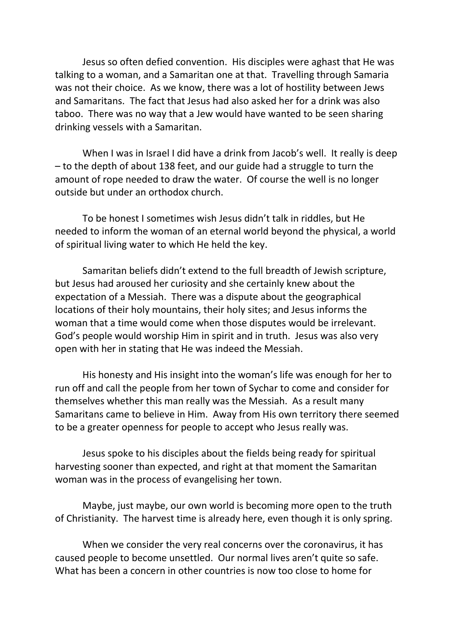Jesus so often defied convention. His disciples were aghast that He was talking to a woman, and a Samaritan one at that. Travelling through Samaria was not their choice. As we know, there was a lot of hostility between Jews and Samaritans. The fact that Jesus had also asked her for a drink was also taboo. There was no way that a Jew would have wanted to be seen sharing drinking vessels with a Samaritan.

When I was in Israel I did have a drink from Jacob's well. It really is deep – to the depth of about 138 feet, and our guide had a struggle to turn the amount of rope needed to draw the water. Of course the well is no longer outside but under an orthodox church.

To be honest I sometimes wish Jesus didn't talk in riddles, but He needed to inform the woman of an eternal world beyond the physical, a world of spiritual living water to which He held the key.

Samaritan beliefs didn't extend to the full breadth of Jewish scripture, but Jesus had aroused her curiosity and she certainly knew about the expectation of a Messiah. There was a dispute about the geographical locations of their holy mountains, their holy sites; and Jesus informs the woman that a time would come when those disputes would be irrelevant. God's people would worship Him in spirit and in truth. Jesus was also very open with her in stating that He was indeed the Messiah.

His honesty and His insight into the woman's life was enough for her to run off and call the people from her town of Sychar to come and consider for themselves whether this man really was the Messiah. As a result many Samaritans came to believe in Him. Away from His own territory there seemed to be a greater openness for people to accept who Jesus really was.

Jesus spoke to his disciples about the fields being ready for spiritual harvesting sooner than expected, and right at that moment the Samaritan woman was in the process of evangelising her town.

Maybe, just maybe, our own world is becoming more open to the truth of Christianity. The harvest time is already here, even though it is only spring.

When we consider the very real concerns over the coronavirus, it has caused people to become unsettled. Our normal lives aren't quite so safe. What has been a concern in other countries is now too close to home for